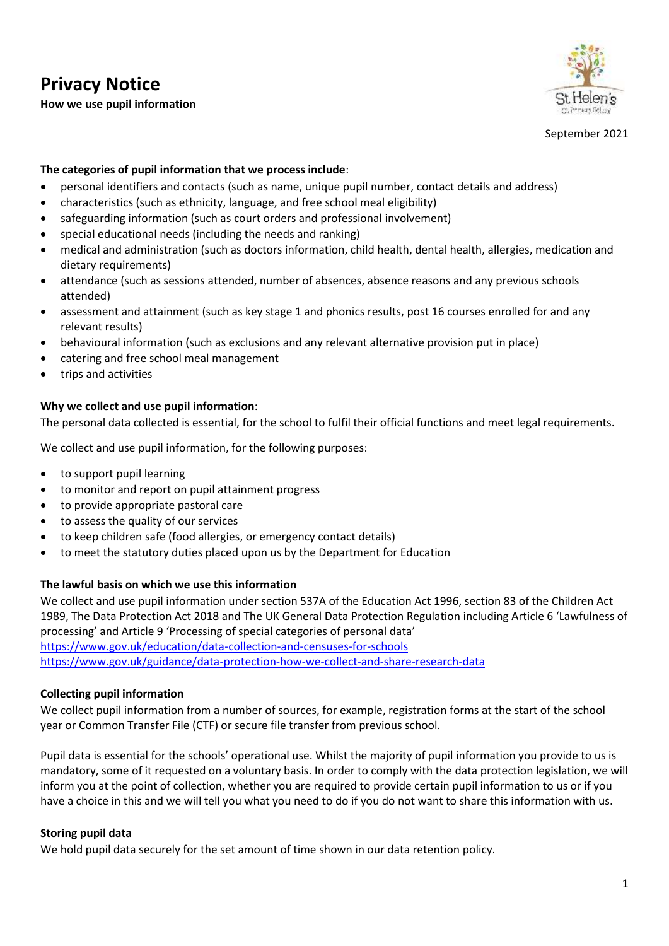# **Privacy Notice How we use pupil information**



September 2021

## **The categories of pupil information that we process include**:

- personal identifiers and contacts (such as name, unique pupil number, contact details and address)
- characteristics (such as ethnicity, language, and free school meal eligibility)
- safeguarding information (such as court orders and professional involvement)
- special educational needs (including the needs and ranking)
- medical and administration (such as doctors information, child health, dental health, allergies, medication and dietary requirements)
- attendance (such as sessions attended, number of absences, absence reasons and any previous schools attended)
- assessment and attainment (such as key stage 1 and phonics results, post 16 courses enrolled for and any relevant results)
- behavioural information (such as exclusions and any relevant alternative provision put in place)
- catering and free school meal management
- trips and activities

#### **Why we collect and use pupil information**:

The personal data collected is essential, for the school to fulfil their official functions and meet legal requirements.

We collect and use pupil information, for the following purposes:

- to support pupil learning
- to monitor and report on pupil attainment progress
- to provide appropriate pastoral care
- to assess the quality of our services
- to keep children safe (food allergies, or emergency contact details)
- to meet the statutory duties placed upon us by the Department for Education

#### **The lawful basis on which we use this information**

We collect and use pupil information under section 537A of the Education Act 1996, section 83 of the Children Act 1989, The Data Protection Act 2018 and The UK General Data Protection Regulation including Article 6 'Lawfulness of processing' and Article 9 'Processing of special categories of personal data' <https://www.gov.uk/education/data-collection-and-censuses-for-schools> <https://www.gov.uk/guidance/data-protection-how-we-collect-and-share-research-data>

## **Collecting pupil information**

We collect pupil information from a number of sources, for example, registration forms at the start of the school year or Common Transfer File (CTF) or secure file transfer from previous school.

Pupil data is essential for the schools' operational use. Whilst the majority of pupil information you provide to us is mandatory, some of it requested on a voluntary basis. In order to comply with the data protection legislation, we will inform you at the point of collection, whether you are required to provide certain pupil information to us or if you have a choice in this and we will tell you what you need to do if you do not want to share this information with us.

## **Storing pupil data**

We hold pupil data securely for the set amount of time shown in our data retention policy.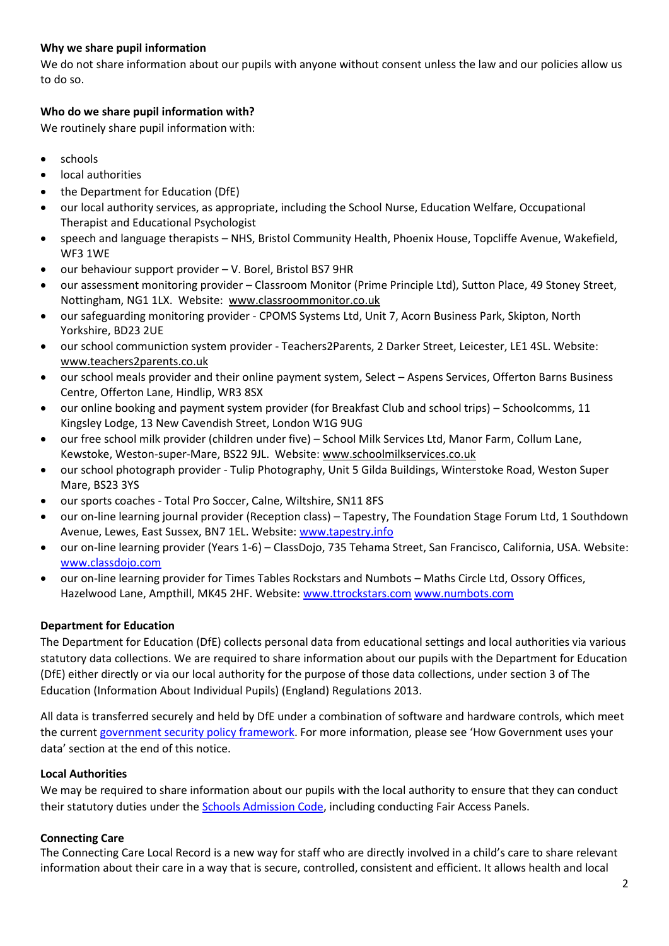# **Why we share pupil information**

We do not share information about our pupils with anyone without consent unless the law and our policies allow us to do so.

# **Who do we share pupil information with?**

We routinely share pupil information with:

- schools
- local authorities
- the Department for Education (DfE)
- our local authority services, as appropriate, including the School Nurse, Education Welfare, Occupational Therapist and Educational Psychologist
- speech and language therapists NHS, Bristol Community Health, Phoenix House, Topcliffe Avenue, Wakefield, WF3 1WE
- our behaviour support provider V. Borel, Bristol BS7 9HR
- our assessment monitoring provider Classroom Monitor (Prime Principle Ltd), Sutton Place, 49 Stoney Street, Nottingham, NG1 1LX. Website: [www.classroommonitor.co.uk](http://www.classroommonitor.co.uk/)
- our safeguarding monitoring provider CPOMS Systems Ltd, Unit 7, Acorn Business Park, Skipton, North Yorkshire, BD23 2UE
- our school communiction system provider Teachers2Parents, 2 Darker Street, Leicester, LE1 4SL. Website: [www.teachers2parents.co.uk](http://www.teachers2parents.co.uk/)
- our school meals provider and their online payment system, Select Aspens Services, Offerton Barns Business Centre, Offerton Lane, Hindlip, WR3 8SX
- our online booking and payment system provider (for Breakfast Club and school trips) Schoolcomms, 11 Kingsley Lodge, 13 New Cavendish Street, London W1G 9UG
- our free school milk provider (children under five) School Milk Services Ltd, Manor Farm, Collum Lane, Kewstoke, Weston-super-Mare, BS22 9JL. Website: [www.schoolmilkservices.co.uk](http://www.schoolmilkservices.co.uk/)
- our school photograph provider Tulip Photography, Unit 5 Gilda Buildings, Winterstoke Road, Weston Super Mare, BS23 3YS
- our sports coaches Total Pro Soccer, Calne, Wiltshire, SN11 8FS
- our on-line learning journal provider (Reception class) Tapestry, The Foundation Stage Forum Ltd, 1 Southdown Avenue, Lewes, East Sussex, BN7 1EL. Website: [www.tapestry.info](http://www.tapestry.info/)
- our on-line learning provider (Years 1-6) ClassDojo, 735 Tehama Street, San Francisco, California, USA. Website: [www.classdojo.com](http://www.classdojo.com/)
- our on-line learning provider for Times Tables Rockstars and Numbots Maths Circle Ltd, Ossory Offices, Hazelwood Lane, Ampthill, MK45 2HF. Website[: www.ttrockstars.com](http://www.ttrockstars.com/) [www.numbots.com](http://www.numbots.com/)

## **Department for Education**

The Department for Education (DfE) collects personal data from educational settings and local authorities via various statutory data collections. We are required to share information about our pupils with the Department for Education (DfE) either directly or via our local authority for the purpose of those data collections, under section 3 of The Education (Information About Individual Pupils) (England) Regulations 2013.

All data is transferred securely and held by DfE under a combination of software and hardware controls, which meet the current [government security policy framework.](https://www.gov.uk/government/publications/security-policy-framework) For more information, please see 'How Government uses your data' section at the end of this notice.

## **Local Authorities**

We may be required to share information about our pupils with the local authority to ensure that they can conduct their statutory duties under the [Schools Admission Code,](https://www.gov.uk/government/publications/school-admissions-code--2) including conducting Fair Access Panels.

## **Connecting Care**

The Connecting Care Local Record is a new way for staff who are directly involved in a child's care to share relevant information about their care in a way that is secure, controlled, consistent and efficient. It allows health and local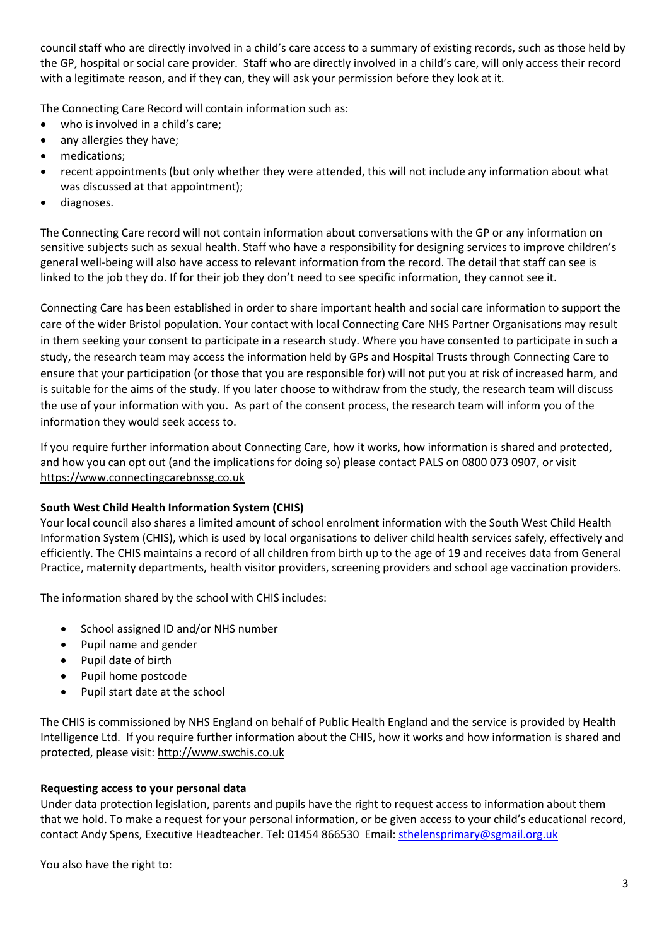council staff who are directly involved in a child's care access to a summary of existing records, such as those held by the GP, hospital or social care provider. Staff who are directly involved in a child's care, will only access their record with a legitimate reason, and if they can, they will ask your permission before they look at it.

The Connecting Care Record will contain information such as:

- who is involved in a child's care;
- any allergies they have;
- medications;
- recent appointments (but only whether they were attended, this will not include any information about what was discussed at that appointment);
- diagnoses.

The Connecting Care record will not contain information about conversations with the GP or any information on sensitive subjects such as sexual health. Staff who have a responsibility for designing services to improve children's general well-being will also have access to relevant information from the record. The detail that staff can see is linked to the job they do. If for their job they don't need to see specific information, they cannot see it.

Connecting Care has been established in order to share important health and social care information to support the care of the wider Bristol population. Your contact with local Connecting Car[e NHS Partner Organisations](https://www.connectingcarebnssg.co.uk/find-out-more/which-organisations-are-a-part-of-connecting-care/) may result in them seeking your consent to participate in a research study. Where you have consented to participate in such a study, the research team may access the information held by GPs and Hospital Trusts through Connecting Care to ensure that your participation (or those that you are responsible for) will not put you at risk of increased harm, and is suitable for the aims of the study. If you later choose to withdraw from the study, the research team will discuss the use of your information with you. As part of the consent process, the research team will inform you of the information they would seek access to.

If you require further information about Connecting Care, how it works, how information is shared and protected, and how you can opt out (and the implications for doing so) please contact PALS on 0800 073 0907, or visit [https://www.connectingcarebnssg.co.uk](https://www.connectingcarebnssg.co.uk/)

## **South West Child Health Information System (CHIS)**

Your local council also shares a limited amount of school enrolment information with the South West Child Health Information System (CHIS), which is used by local organisations to deliver child health services safely, effectively and efficiently. The CHIS maintains a record of all children from birth up to the age of 19 and receives data from General Practice, maternity departments, health visitor providers, screening providers and school age vaccination providers.

The information shared by the school with CHIS includes:

- School assigned ID and/or NHS number
- Pupil name and gender
- Pupil date of birth
- Pupil home postcode
- Pupil start date at the school

The CHIS is commissioned by NHS England on behalf of Public Health England and the service is provided by Health Intelligence Ltd. If you require further information about the CHIS, how it works and how information is shared and protected, please visit: [http://www.swchis.co.uk](http://www.swchis.co.uk/)

## **Requesting access to your personal data**

Under data protection legislation, parents and pupils have the right to request access to information about them that we hold. To make a request for your personal information, or be given access to your child's educational record, contact Andy Spens, Executive Headteacher. Tel: 01454 866530 Email[: sthelensprimary@sgmail.org.uk](mailto:sthelensprimary@sgmail.org.uk)

You also have the right to: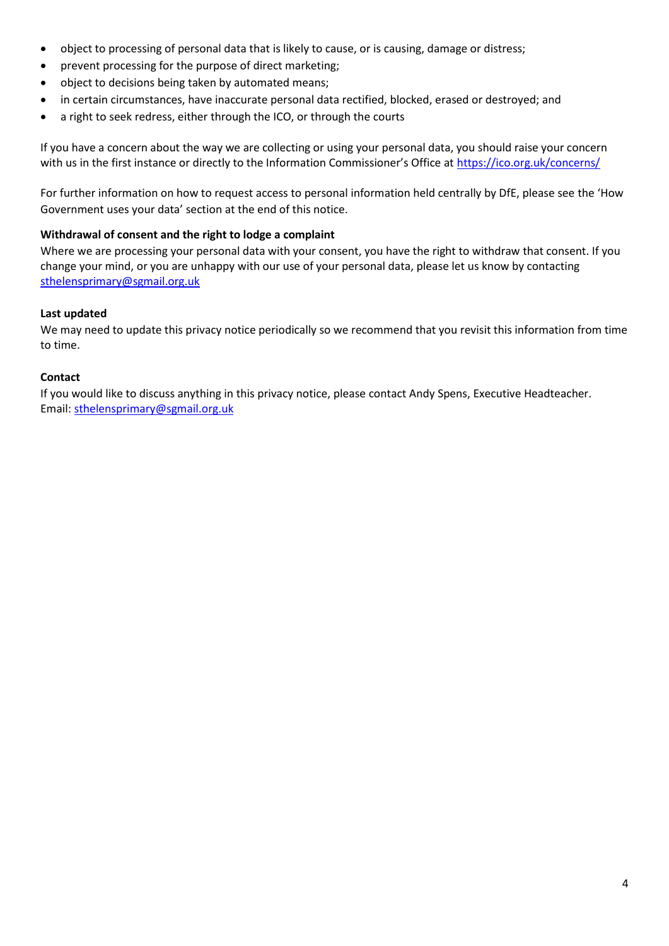- object to processing of personal data that is likely to cause, or is causing, damage or distress;
- prevent processing for the purpose of direct marketing;
- object to decisions being taken by automated means;
- in certain circumstances, have inaccurate personal data rectified, blocked, erased or destroyed; and
- a right to seek redress, either through the ICO, or through the courts

If you have a concern about the way we are collecting or using your personal data, you should raise your concern with us in the first instance or directly to the Information Commissioner's Office at <https://ico.org.uk/concerns/>

For further information on how to request access to personal information held centrally by DfE, please see the 'How Government uses your data' section at the end of this notice.

#### **Withdrawal of consent and the right to lodge a complaint**

Where we are processing your personal data with your consent, you have the right to withdraw that consent. If you change your mind, or you are unhappy with our use of your personal data, please let us know by contacting [sthelensprimary@sgmail.org.uk](mailto:sthelensprimary@sgmail.org.uk)

#### **Last updated**

We may need to update this privacy notice periodically so we recommend that you revisit this information from time to time.

#### **Contact**

If you would like to discuss anything in this privacy notice, please contact Andy Spens, Executive Headteacher. Email: [sthelensprimary@sgmail.org.uk](mailto:sthelensprimary@sgmail.org.uk)